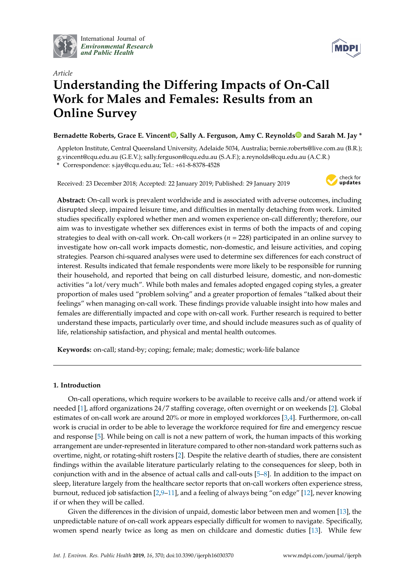

International Journal of *[Environmental Research](http://www.mdpi.com/journal/ijerph) and Public Health*



# *Article* **Understanding the Differing Impacts of On-Call Work for Males and Females: Results from an Online Survey**

**Bernadette Roberts, Grace E. Vincen[t](https://orcid.org/0000-0002-7036-7823) , Sally A. Ferguson, Amy C. Reynold[s](https://orcid.org/0000-0001-9534-8699) and Sarah M. Jay \***

Appleton Institute, Central Queensland University, Adelaide 5034, Australia; bernie.roberts@live.com.au (B.R.); g.vincent@cqu.edu.au (G.E.V.); sally.ferguson@cqu.edu.au (S.A.F.); a.reynolds@cqu.edu.au (A.C.R.)

**\*** Correspondence: s.jay@cqu.edu.au; Tel.: +61-8-8378-4528

Received: 23 December 2018; Accepted: 22 January 2019; Published: 29 January 2019



**Abstract:** On-call work is prevalent worldwide and is associated with adverse outcomes, including disrupted sleep, impaired leisure time, and difficulties in mentally detaching from work. Limited studies specifically explored whether men and women experience on-call differently; therefore, our aim was to investigate whether sex differences exist in terms of both the impacts of and coping strategies to deal with on-call work. On-call workers (*n* = 228) participated in an online survey to investigate how on-call work impacts domestic, non-domestic, and leisure activities, and coping strategies. Pearson chi-squared analyses were used to determine sex differences for each construct of interest. Results indicated that female respondents were more likely to be responsible for running their household, and reported that being on call disturbed leisure, domestic, and non-domestic activities "a lot/very much". While both males and females adopted engaged coping styles, a greater proportion of males used "problem solving" and a greater proportion of females "talked about their feelings" when managing on-call work. These findings provide valuable insight into how males and females are differentially impacted and cope with on-call work. Further research is required to better understand these impacts, particularly over time, and should include measures such as of quality of life, relationship satisfaction, and physical and mental health outcomes.

**Keywords:** on-call; stand-by; coping; female; male; domestic; work-life balance

# **1. Introduction**

On-call operations, which require workers to be available to receive calls and/or attend work if needed [\[1\]](#page-8-0), afford organizations 24/7 staffing coverage, often overnight or on weekends [\[2\]](#page-8-1). Global estimates of on-call work are around 20% or more in employed workforces [\[3,](#page-8-2)[4\]](#page-8-3). Furthermore, on-call work is crucial in order to be able to leverage the workforce required for fire and emergency rescue and response [\[5\]](#page-8-4). While being on call is not a new pattern of work, the human impacts of this working arrangement are under-represented in literature compared to other non-standard work patterns such as overtime, night, or rotating-shift rosters [\[2\]](#page-8-1). Despite the relative dearth of studies, there are consistent findings within the available literature particularly relating to the consequences for sleep, both in conjunction with and in the absence of actual calls and call-outs [\[5](#page-8-4)[–8\]](#page-8-5). In addition to the impact on sleep, literature largely from the healthcare sector reports that on-call workers often experience stress, burnout, reduced job satisfaction [\[2](#page-8-1),9-[11\]](#page-9-1), and a feeling of always being "on edge" [\[12\]](#page-9-2), never knowing if or when they will be called.

Given the differences in the division of unpaid, domestic labor between men and women [\[13\]](#page-9-3), the unpredictable nature of on-call work appears especially difficult for women to navigate. Specifically, women spend nearly twice as long as men on childcare and domestic duties [\[13\]](#page-9-3). While few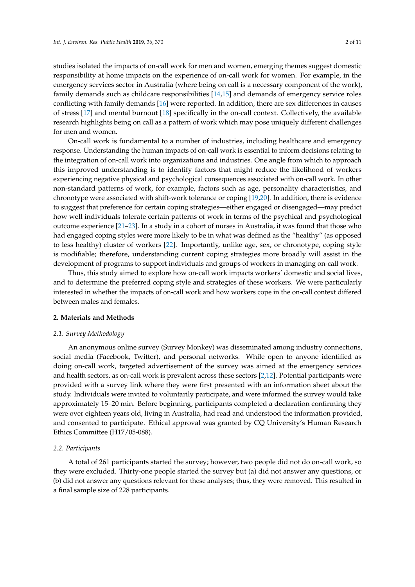studies isolated the impacts of on-call work for men and women, emerging themes suggest domestic responsibility at home impacts on the experience of on-call work for women. For example, in the emergency services sector in Australia (where being on call is a necessary component of the work), family demands such as childcare responsibilities [\[14](#page-9-4)[,15\]](#page-9-5) and demands of emergency service roles conflicting with family demands [\[16\]](#page-9-6) were reported. In addition, there are sex differences in causes of stress [\[17\]](#page-9-7) and mental burnout [\[18\]](#page-9-8) specifically in the on-call context. Collectively, the available research highlights being on call as a pattern of work which may pose uniquely different challenges for men and women.

On-call work is fundamental to a number of industries, including healthcare and emergency response. Understanding the human impacts of on-call work is essential to inform decisions relating to the integration of on-call work into organizations and industries. One angle from which to approach this improved understanding is to identify factors that might reduce the likelihood of workers experiencing negative physical and psychological consequences associated with on-call work. In other non-standard patterns of work, for example, factors such as age, personality characteristics, and chronotype were associated with shift-work tolerance or coping [\[19,](#page-9-9)[20\]](#page-9-10). In addition, there is evidence to suggest that preference for certain coping strategies—either engaged or disengaged—may predict how well individuals tolerate certain patterns of work in terms of the psychical and psychological outcome experience [\[21](#page-9-11)[–23\]](#page-9-12). In a study in a cohort of nurses in Australia, it was found that those who had engaged coping styles were more likely to be in what was defined as the "healthy" (as opposed to less healthy) cluster of workers [\[22\]](#page-9-13). Importantly, unlike age, sex, or chronotype, coping style is modifiable; therefore, understanding current coping strategies more broadly will assist in the development of programs to support individuals and groups of workers in managing on-call work.

Thus, this study aimed to explore how on-call work impacts workers' domestic and social lives, and to determine the preferred coping style and strategies of these workers. We were particularly interested in whether the impacts of on-call work and how workers cope in the on-call context differed between males and females.

# **2. Materials and Methods**

#### *2.1. Survey Methodology*

An anonymous online survey (Survey Monkey) was disseminated among industry connections, social media (Facebook, Twitter), and personal networks. While open to anyone identified as doing on-call work, targeted advertisement of the survey was aimed at the emergency services and health sectors, as on-call work is prevalent across these sectors [\[2](#page-8-1)[,12\]](#page-9-2). Potential participants were provided with a survey link where they were first presented with an information sheet about the study. Individuals were invited to voluntarily participate, and were informed the survey would take approximately 15–20 min. Before beginning, participants completed a declaration confirming they were over eighteen years old, living in Australia, had read and understood the information provided, and consented to participate. Ethical approval was granted by CQ University's Human Research Ethics Committee (H17/05-088).

## *2.2. Participants*

A total of 261 participants started the survey; however, two people did not do on-call work, so they were excluded. Thirty-one people started the survey but (a) did not answer any questions, or (b) did not answer any questions relevant for these analyses; thus, they were removed. This resulted in a final sample size of 228 participants.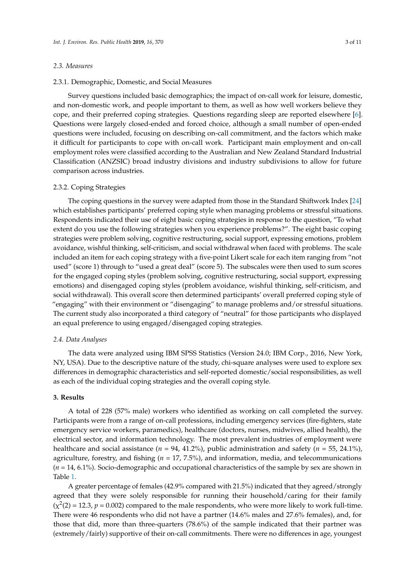#### *2.3. Measures*

## 2.3.1. Demographic, Domestic, and Social Measures

Survey questions included basic demographics; the impact of on-call work for leisure, domestic, and non-domestic work, and people important to them, as well as how well workers believe they cope, and their preferred coping strategies. Questions regarding sleep are reported elsewhere [\[6\]](#page-8-6). Questions were largely closed-ended and forced choice, although a small number of open-ended questions were included, focusing on describing on-call commitment, and the factors which make it difficult for participants to cope with on-call work. Participant main employment and on-call employment roles were classified according to the Australian and New Zealand Standard Industrial Classification (ANZSIC) broad industry divisions and industry subdivisions to allow for future comparison across industries.

## 2.3.2. Coping Strategies

The coping questions in the survey were adapted from those in the Standard Shiftwork Index [\[24\]](#page-9-14) which establishes participants' preferred coping style when managing problems or stressful situations. Respondents indicated their use of eight basic coping strategies in response to the question, "To what extent do you use the following strategies when you experience problems?". The eight basic coping strategies were problem solving, cognitive restructuring, social support, expressing emotions, problem avoidance, wishful thinking, self-criticism, and social withdrawal when faced with problems. The scale included an item for each coping strategy with a five-point Likert scale for each item ranging from "not used" (score 1) through to "used a great deal" (score 5). The subscales were then used to sum scores for the engaged coping styles (problem solving, cognitive restructuring, social support, expressing emotions) and disengaged coping styles (problem avoidance, wishful thinking, self-criticism, and social withdrawal). This overall score then determined participants' overall preferred coping style of "engaging" with their environment or "disengaging" to manage problems and/or stressful situations. The current study also incorporated a third category of "neutral" for those participants who displayed an equal preference to using engaged/disengaged coping strategies.

#### *2.4. Data Analyses*

The data were analyzed using IBM SPSS Statistics (Version 24.0; IBM Corp., 2016, New York, NY, USA). Due to the descriptive nature of the study, chi-square analyses were used to explore sex differences in demographic characteristics and self-reported domestic/social responsibilities, as well as each of the individual coping strategies and the overall coping style.

## **3. Results**

A total of 228 (57% male) workers who identified as working on call completed the survey. Participants were from a range of on-call professions, including emergency services (fire-fighters, state emergency service workers, paramedics), healthcare (doctors, nurses, midwives, allied health), the electrical sector, and information technology. The most prevalent industries of employment were healthcare and social assistance (*n* = 94, 41.2%), public administration and safety (*n* = 55, 24.1%), agriculture, forestry, and fishing (*n* = 17, 7.5%), and information, media, and telecommunications (*n* = 14, 6.1%). Socio-demographic and occupational characteristics of the sample by sex are shown in Table [1.](#page-3-0)

A greater percentage of females (42.9% compared with 21.5%) indicated that they agreed/strongly agreed that they were solely responsible for running their household/caring for their family  $(\chi^2(2) = 12.3, p = 0.002)$  compared to the male respondents, who were more likely to work full-time. There were 46 respondents who did not have a partner (14.6% males and 27.6% females), and, for those that did, more than three-quarters (78.6%) of the sample indicated that their partner was (extremely/fairly) supportive of their on-call commitments. There were no differences in age, youngest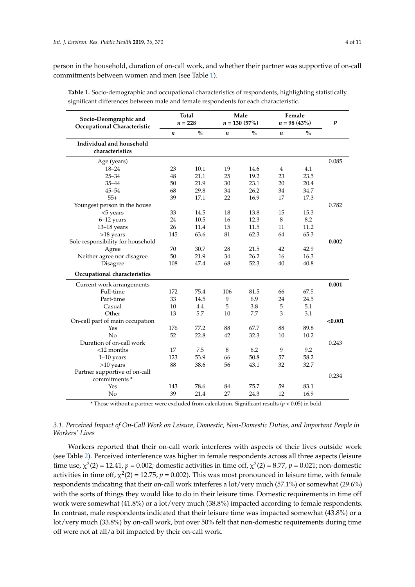person in the household, duration of on-call work, and whether their partner was supportive of on-call commitments between women and men (see Table [1\)](#page-3-0).

| Socio-Deomgraphic and<br>Occupational Characteristic | <b>Total</b><br>$n=228$ |      | Male<br>$n = 130 (57%)$ |               | Female<br>$n = 98 (43\%)$ |      | $\boldsymbol{p}$ |
|------------------------------------------------------|-------------------------|------|-------------------------|---------------|---------------------------|------|------------------|
|                                                      | $\boldsymbol{n}$        | $\%$ | $\boldsymbol{n}$        | $\frac{0}{0}$ | $\boldsymbol{n}$          | $\%$ |                  |
| Individual and household<br>characteristics          |                         |      |                         |               |                           |      |                  |
| Age (years)                                          |                         |      |                         |               |                           |      | 0.085            |
| $18 - 24$                                            | 23                      | 10.1 | 19                      | 14.6          | 4                         | 4.1  |                  |
| $25 - 34$                                            | 48                      | 21.1 | 25                      | 19.2          | 23                        | 23.5 |                  |
| $35 - 44$                                            | 50                      | 21.9 | 30                      | 23.1          | 20                        | 20.4 |                  |
| $45 - 54$                                            | 68                      | 29.8 | 34                      | 26.2          | 34                        | 34.7 |                  |
| $55+$                                                | 39                      | 17.1 | 22                      | 16.9          | 17                        | 17.3 |                  |
| Youngest person in the house                         |                         |      |                         |               |                           |      | 0.782            |
| <5 years                                             | 33                      | 14.5 | 18                      | 13.8          | 15                        | 15.3 |                  |
| $6-12$ years                                         | 24                      | 10.5 | 16                      | 12.3          | 8                         | 8.2  |                  |
| $13-18$ years                                        | 26                      | 11.4 | 15                      | 11.5          | 11                        | 11.2 |                  |
| >18 years                                            | 145                     | 63.6 | 81                      | 62.3          | 64                        | 65.3 |                  |
| Sole responsibility for household                    |                         |      |                         |               |                           |      | 0.002            |
| Agree                                                | 70                      | 30.7 | 28                      | 21.5          | 42                        | 42.9 |                  |
| Neither agree nor disagree                           | 50                      | 21.9 | 34                      | 26.2          | 16                        | 16.3 |                  |
| Disagree                                             | 108                     | 47.4 | 68                      | 52.3          | 40                        | 40.8 |                  |
| Occupational characteristics                         |                         |      |                         |               |                           |      |                  |
| Current work arrangements                            |                         |      |                         |               |                           |      | 0.001            |
| Full-time                                            | 172                     | 75.4 | 106                     | 81.5          | 66                        | 67.5 |                  |
| Part-time                                            | 33                      | 14.5 | 9                       | 6.9           | 24                        | 24.5 |                  |
| Casual                                               | 10                      | 4.4  | 5                       | 3.8           | 5                         | 5.1  |                  |
| Other                                                | 13                      | 5.7  | 10                      | 7.7           | 3                         | 3.1  |                  |
| On-call part of main occupation                      |                         |      |                         |               |                           |      | < 0.001          |
| Yes                                                  | 176                     | 77.2 | 88                      | 67.7          | 88                        | 89.8 |                  |
| No                                                   | 52                      | 22.8 | 42                      | 32.3          | 10                        | 10.2 |                  |
| Duration of on-call work                             |                         |      |                         |               |                           |      | 0.243            |
| $<$ 12 months                                        | 17                      | 7.5  | 8                       | 6.2           | 9                         | 9.2  |                  |
| $1-10$ years                                         | 123                     | 53.9 | 66                      | 50.8          | 57                        | 58.2 |                  |
| >10 years                                            | 88                      | 38.6 | 56                      | 43.1          | 32                        | 32.7 |                  |
| Partner supportive of on-call                        |                         |      |                         |               |                           |      |                  |
| commitments *                                        |                         |      |                         |               |                           |      | 0.234            |
| Yes                                                  | 143                     | 78.6 | 84                      | 75.7          | 59                        | 83.1 |                  |
| No                                                   | 39                      | 21.4 | 27                      | 24.3          | 12                        | 16.9 |                  |

<span id="page-3-0"></span>**Table 1.** Socio-demographic and occupational characteristics of respondents, highlighting statistically significant differences between male and female respondents for each characteristic.

\* Those without a partner were excluded from calculation. Significant results (*p* < 0.05) in bold.

# *3.1. Perceived Impact of On-Call Work on Leisure, Domestic, Non-Domestic Duties, and Important People in Workers' Lives*

Workers reported that their on-call work interferes with aspects of their lives outside work (see Table [2\)](#page-4-0). Perceived interference was higher in female respondents across all three aspects (leisure time use,  $\chi^2(2) = 12.41$ , *p* = 0.002; domestic activities in time off,  $\chi^2(2) = 8.77$ , *p* = 0.021; non-domestic activities in time off,  $\chi^2(2) = 12.75$ ,  $p = 0.002$ ). This was most pronounced in leisure time, with female respondents indicating that their on-call work interferes a lot/very much (57.1%) or somewhat (29.6%) with the sorts of things they would like to do in their leisure time. Domestic requirements in time off work were somewhat (41.8%) or a lot/very much (38.8%) impacted according to female respondents. In contrast, male respondents indicated that their leisure time was impacted somewhat (43.8%) or a lot/very much (33.8%) by on-call work, but over 50% felt that non-domestic requirements during time off were not at all/a bit impacted by their on-call work.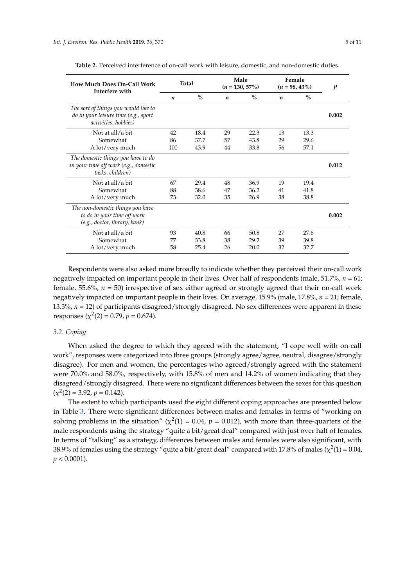<span id="page-4-0"></span>

| <b>How Much Does On-Call Work</b><br>Interfere with                                                                  | <b>Total</b>     |               | Male<br>$(n = 130, 57\%)$ |      | Female<br>$(n = 98, 43\%)$ |               | p     |
|----------------------------------------------------------------------------------------------------------------------|------------------|---------------|---------------------------|------|----------------------------|---------------|-------|
|                                                                                                                      | $\boldsymbol{n}$ | $\frac{0}{0}$ | n                         | $\%$ | $\boldsymbol{n}$           | $\frac{0}{0}$ |       |
| The sort of things you would like to<br>do in your leisure time (e.g., sport<br><i>activities</i> , <i>hobbies</i> ) |                  |               |                           |      |                            |               | 0.002 |
| Not at all/a bit                                                                                                     | 42               | 18.4          | 29                        | 22.3 | 13                         | 13.3          |       |
| Somewhat                                                                                                             | 86               | 37.7          | 57                        | 43.8 | 29                         | 29.6          |       |
| A lot/very much                                                                                                      | 100              | 43.9          | 44                        | 33.8 | 56                         | 57.1          |       |
| The domestic things you have to do<br>in your time off work (e.g., domestic<br>tasks, children)                      |                  |               |                           |      |                            |               | 0.012 |
| Not at all/a bit                                                                                                     | 67               | 29.4          | 48                        | 36.9 | 19                         | 19.4          |       |
| Somewhat                                                                                                             | 88               | 38.6          | 47                        | 36.2 | 41                         | 41.8          |       |
| A lot/very much                                                                                                      | 73               | 32.0          | 35                        | 26.9 | 38                         | 38.8          |       |
| The non-domestic things you have<br>to do in your time off work<br>(e.g., doctor, library, bank)                     |                  |               |                           |      |                            |               | 0.002 |
| Not at all/a bit                                                                                                     | 93               | 40.8          | 66                        | 50.8 | 27                         | 27.6          |       |
| Somewhat                                                                                                             | 77               | 33.8          | 38                        | 29.2 | 39                         | 39.8          |       |
| A lot/very much                                                                                                      | 58               | 25.4          | 26                        | 20.0 | 32                         | 32.7          |       |

**Table 2.** Perceived interference of on-call work with leisure, domestic, and non-domestic duties.

Respondents were also asked more broadly to indicate whether they perceived their on-call work negatively impacted on important people in their lives. Over half of respondents (male, 51.7%, *n* = 61; female, 55.6%, *n* = 50) irrespective of sex either agreed or strongly agreed that their on-call work negatively impacted on important people in their lives. On average, 15.9% (male, 17.8%, *n* = 21; female, 13.3%, *n* = 12) of participants disagreed/strongly disagreed. No sex differences were apparent in these responses ( $\chi^2(2) = 0.79$ ,  $p = 0.674$ ).

# *3.2. Coping*

When asked the degree to which they agreed with the statement, "I cope well with on-call work", responses were categorized into three groups (strongly agree/agree, neutral, disagree/strongly disagree). For men and women, the percentages who agreed/strongly agreed with the statement were 70.0% and 58.0%, respectively, with 15.8% of men and 14.2% of women indicating that they disagreed/strongly disagreed. There were no significant differences between the sexes for this question  $(\chi^2(2) = 3.92, p = 0.142).$ 

The extent to which participants used the eight different coping approaches are presented below in Table [3.](#page-5-0) There were significant differences between males and females in terms of "working on solving problems in the situation" ( $\chi^2(1) = 0.04$ ,  $p = 0.012$ ), with more than three-quarters of the male respondents using the strategy "quite a bit/great deal" compared with just over half of females. In terms of "talking" as a strategy, differences between males and females were also significant, with 38.9% of females using the strategy "quite a bit/great deal" compared with 17.8% of males ( $\chi^2(1)$  = 0.04,  $p < 0.0001$ ).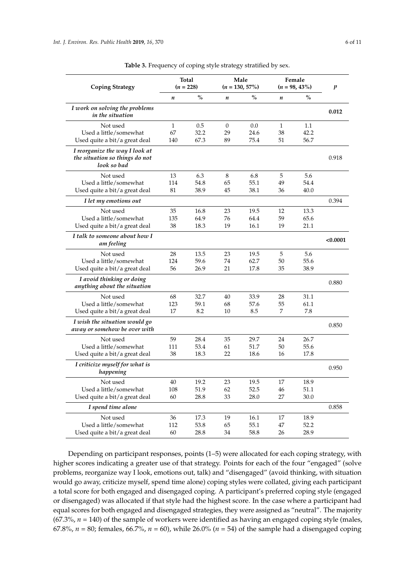<span id="page-5-0"></span>

| <b>Coping Strategy</b>                                                          | Total<br>$(n = 228)$ |      | Male<br>$(n = 130, 57\%)$ |      | Female<br>$(n=98,\,43\%)$ |      | p        |
|---------------------------------------------------------------------------------|----------------------|------|---------------------------|------|---------------------------|------|----------|
|                                                                                 | n                    | $\%$ | n                         | $\%$ | n                         | $\%$ |          |
| I work on solving the problems<br>in the situation                              |                      |      |                           |      |                           |      | 0.012    |
| Not used                                                                        | $\mathbf{1}$         | 0.5  | 0                         | 0.0  | 1                         | 1.1  |          |
| Used a little/somewhat                                                          | 67                   | 32.2 | 29                        | 24.6 | 38                        | 42.2 |          |
| Used quite a bit/a great deal                                                   | 140                  | 67.3 | 89                        | 75.4 | 51                        | 56.7 |          |
| I reorganize the way I look at<br>the situation so things do not<br>look so bad |                      |      |                           |      |                           |      | 0.918    |
| Not used                                                                        | 13                   | 6.3  | 8                         | 6.8  | 5                         | 5.6  |          |
| Used a little/somewhat                                                          | 114                  | 54.8 | 65                        | 55.1 | 49                        | 54.4 |          |
| Used quite a bit/a great deal                                                   | 81                   | 38.9 | 45                        | 38.1 | 36                        | 40.0 |          |
| I let my emotions out                                                           |                      |      |                           |      |                           |      | 0.394    |
| Not used                                                                        | 35                   | 16.8 | 23                        | 19.5 | 12                        | 13.3 |          |
| Used a little/somewhat                                                          | 135                  | 64.9 | 76                        | 64.4 | 59                        | 65.6 |          |
| Used quite a bit/a great deal                                                   | 38                   | 18.3 | 19                        | 16.1 | 19                        | 21.1 |          |
| I talk to someone about how I<br>am feeling                                     |                      |      |                           |      |                           |      | < 0.0001 |
| Not used                                                                        | 28                   | 13.5 | 23                        | 19.5 | 5                         | 5.6  |          |
| Used a little/somewhat                                                          | 124                  | 59.6 | 74                        | 62.7 | 50                        | 55.6 |          |
| Used quite a bit/a great deal                                                   | 56                   | 26.9 | 21                        | 17.8 | 35                        | 38.9 |          |
| I avoid thinking or doing<br>anything about the situation                       |                      |      |                           |      |                           |      | 0.880    |
| Not used                                                                        | 68                   | 32.7 | 40                        | 33.9 | 28                        | 31.1 |          |
| Used a little/somewhat                                                          | 123                  | 59.1 | 68                        | 57.6 | 55                        | 61.1 |          |
| Used quite a bit/a great deal                                                   | 17                   | 8.2  | 10                        | 8.5  | 7                         | 7.8  |          |
| I wish the situation would go<br>away or somehow be over with                   |                      |      |                           |      |                           |      | 0.850    |
| Not used                                                                        | 59                   | 28.4 | 35                        | 29.7 | 24                        | 26.7 |          |
| Used a little/somewhat                                                          | 111                  | 53.4 | 61                        | 51.7 | 50                        | 55.6 |          |
| Used quite a bit/a great deal                                                   | 38                   | 18.3 | 22                        | 18.6 | 16                        | 17.8 |          |
| I criticize myself for what is<br>happening                                     |                      |      |                           |      |                           |      | 0.950    |
| Not used                                                                        | 40                   | 19.2 | 23                        | 19.5 | 17                        | 18.9 |          |
| Used a little/somewhat                                                          | 108                  | 51.9 | 62                        | 52.5 | 46                        | 51.1 |          |
| Used quite a bit/a great deal                                                   | 60                   | 28.8 | 33                        | 28.0 | 27                        | 30.0 |          |
| I spend time alone                                                              |                      |      |                           |      |                           |      | 0.858    |
| Not used                                                                        | 36                   | 17.3 | 19                        | 16.1 | 17                        | 18.9 |          |
| Used a little/somewhat                                                          | 112                  | 53.8 | 65                        | 55.1 | 47                        | 52.2 |          |
| Used quite a bit/a great deal                                                   | 60                   | 28.8 | 34                        | 58.8 | 26                        | 28.9 |          |

**Table 3.** Frequency of coping style strategy stratified by sex.

Depending on participant responses, points (1–5) were allocated for each coping strategy, with higher scores indicating a greater use of that strategy. Points for each of the four "engaged" (solve problems, reorganize way I look, emotions out, talk) and "disengaged" (avoid thinking, with situation would go away, criticize myself, spend time alone) coping styles were collated, giving each participant a total score for both engaged and disengaged coping. A participant's preferred coping style (engaged or disengaged) was allocated if that style had the highest score. In the case where a participant had equal scores for both engaged and disengaged strategies, they were assigned as "neutral". The majority (67.3%, *n* = 140) of the sample of workers were identified as having an engaged coping style (males, 67.8%,  $n = 80$ ; females, 66.7%,  $n = 60$ ), while 26.0% ( $n = 54$ ) of the sample had a disengaged coping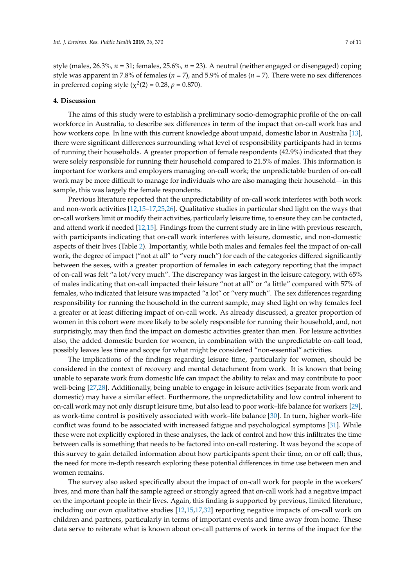style (males, 26.3%, *n* = 31; females, 25.6%, *n* = 23). A neutral (neither engaged or disengaged) coping style was apparent in 7.8% of females (*n* = 7), and 5.9% of males (*n* = 7). There were no sex differences in preferred coping style ( $\chi^2(2) = 0.28$ ,  $p = 0.870$ ).

# **4. Discussion**

The aims of this study were to establish a preliminary socio-demographic profile of the on-call workforce in Australia, to describe sex differences in term of the impact that on-call work has and how workers cope. In line with this current knowledge about unpaid, domestic labor in Australia [\[13\]](#page-9-3), there were significant differences surrounding what level of responsibility participants had in terms of running their households. A greater proportion of female respondents (42.9%) indicated that they were solely responsible for running their household compared to 21.5% of males. This information is important for workers and employers managing on-call work; the unpredictable burden of on-call work may be more difficult to manage for individuals who are also managing their household—in this sample, this was largely the female respondents.

Previous literature reported that the unpredictability of on-call work interferes with both work and non-work activities [\[12,](#page-9-2)[15–](#page-9-5)[17](#page-9-7)[,25](#page-9-15)[,26\]](#page-9-16). Qualitative studies in particular shed light on the ways that on-call workers limit or modify their activities, particularly leisure time, to ensure they can be contacted, and attend work if needed [\[12,](#page-9-2)[15\]](#page-9-5). Findings from the current study are in line with previous research, with participants indicating that on-call work interferes with leisure, domestic, and non-domestic aspects of their lives (Table [2\)](#page-4-0). Importantly, while both males and females feel the impact of on-call work, the degree of impact ("not at all" to "very much") for each of the categories differed significantly between the sexes, with a greater proportion of females in each category reporting that the impact of on-call was felt "a lot/very much". The discrepancy was largest in the leisure category, with 65% of males indicating that on-call impacted their leisure "not at all" or "a little" compared with 57% of females, who indicated that leisure was impacted "a lot" or "very much". The sex differences regarding responsibility for running the household in the current sample, may shed light on why females feel a greater or at least differing impact of on-call work. As already discussed, a greater proportion of women in this cohort were more likely to be solely responsible for running their household, and, not surprisingly, may then find the impact on domestic activities greater than men. For leisure activities also, the added domestic burden for women, in combination with the unpredictable on-call load, possibly leaves less time and scope for what might be considered "non-essential" activities.

The implications of the findings regarding leisure time, particularly for women, should be considered in the context of recovery and mental detachment from work. It is known that being unable to separate work from domestic life can impact the ability to relax and may contribute to poor well-being [\[27,](#page-9-17)[28\]](#page-9-18). Additionally, being unable to engage in leisure activities (separate from work and domestic) may have a similar effect. Furthermore, the unpredictability and low control inherent to on-call work may not only disrupt leisure time, but also lead to poor work–life balance for workers [\[29\]](#page-9-19), as work-time control is positively associated with work–life balance [\[30\]](#page-9-20). In turn, higher work–life conflict was found to be associated with increased fatigue and psychological symptoms [\[31\]](#page-9-21). While these were not explicitly explored in these analyses, the lack of control and how this infiltrates the time between calls is something that needs to be factored into on-call rostering. It was beyond the scope of this survey to gain detailed information about how participants spent their time, on or off call; thus, the need for more in-depth research exploring these potential differences in time use between men and women remains.

The survey also asked specifically about the impact of on-call work for people in the workers' lives, and more than half the sample agreed or strongly agreed that on-call work had a negative impact on the important people in their lives. Again, this finding is supported by previous, limited literature, including our own qualitative studies [\[12,](#page-9-2)[15](#page-9-5)[,17,](#page-9-7)[32\]](#page-9-22) reporting negative impacts of on-call work on children and partners, particularly in terms of important events and time away from home. These data serve to reiterate what is known about on-call patterns of work in terms of the impact for the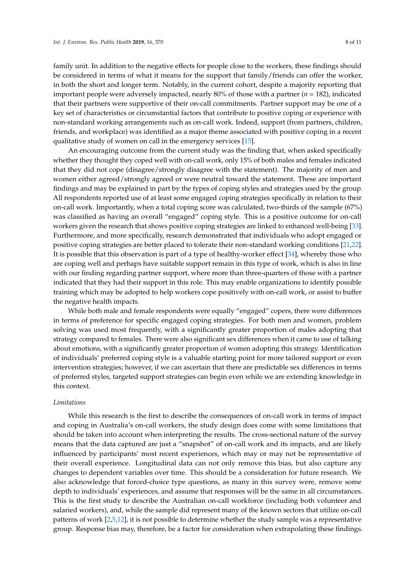family unit. In addition to the negative effects for people close to the workers, these findings should be considered in terms of what it means for the support that family/friends can offer the worker, in both the short and longer term. Notably, in the current cohort, despite a majority reporting that important people were adversely impacted, nearly 80% of those with a partner (*n* = 182), indicated that their partners were supportive of their on-call commitments. Partner support may be one of a key set of characteristics or circumstantial factors that contribute to positive coping or experience with non-standard working arrangements such as on-call work. Indeed, support (from partners, children, friends, and workplace) was identified as a major theme associated with positive coping in a recent qualitative study of women on call in the emergency services [\[15\]](#page-9-5).

An encouraging outcome from the current study was the finding that, when asked specifically whether they thought they coped well with on-call work, only 15% of both males and females indicated that they did not cope (disagree/strongly disagree with the statement). The majority of men and women either agreed/strongly agreed or were neutral toward the statement. These are important findings and may be explained in part by the types of coping styles and strategies used by the group. All respondents reported use of at least some engaged coping strategies specifically in relation to their on-call work. Importantly, when a total coping score was calculated, two-thirds of the sample (67%) was classified as having an overall "engaged" coping style. This is a positive outcome for on-call workers given the research that shows positive coping strategies are linked to enhanced well-being [\[33\]](#page-10-0). Furthermore, and more specifically, research demonstrated that individuals who adopt engaged or positive coping strategies are better placed to tolerate their non-standard working conditions [\[21,](#page-9-11)[22\]](#page-9-13). It is possible that this observation is part of a type of healthy-worker effect [\[34\]](#page-10-1), whereby those who are coping well and perhaps have suitable support remain in this type of work, which is also in line with our finding regarding partner support, where more than three-quarters of those with a partner indicated that they had their support in this role. This may enable organizations to identify possible training which may be adopted to help workers cope positively with on-call work, or assist to buffer the negative health impacts.

While both male and female respondents were equally "engaged" copers, there were differences in terms of preference for specific engaged coping strategies. For both men and women, problem solving was used most frequently, with a significantly greater proportion of males adopting that strategy compared to females. There were also significant sex differences when it came to use of talking about emotions, with a significantly greater proportion of women adopting this strategy. Identification of individuals' preferred coping style is a valuable starting point for more tailored support or even intervention strategies; however, if we can ascertain that there are predictable sex differences in terms of preferred styles, targeted support strategies can begin even while we are extending knowledge in this context.

## *Limitations*

While this research is the first to describe the consequences of on-call work in terms of impact and coping in Australia's on-call workers, the study design does come with some limitations that should be taken into account when interpreting the results. The cross-sectional nature of the survey means that the data captured are just a "snapshot" of on-call work and its impacts, and are likely influenced by participants' most recent experiences, which may or may not be representative of their overall experience. Longitudinal data can not only remove this bias, but also capture any changes to dependent variables over time. This should be a consideration for future research. We also acknowledge that forced-choice type questions, as many in this survey were, remove some depth to individuals' experiences, and assume that responses will be the same in all circumstances. This is the first study to describe the Australian on-call workforce (including both volunteer and salaried workers), and, while the sample did represent many of the known sectors that utilize on-call patterns of work [\[2](#page-8-1)[,5](#page-8-4)[,12\]](#page-9-2), it is not possible to determine whether the study sample was a representative group. Response bias may, therefore, be a factor for consideration when extrapolating these findings.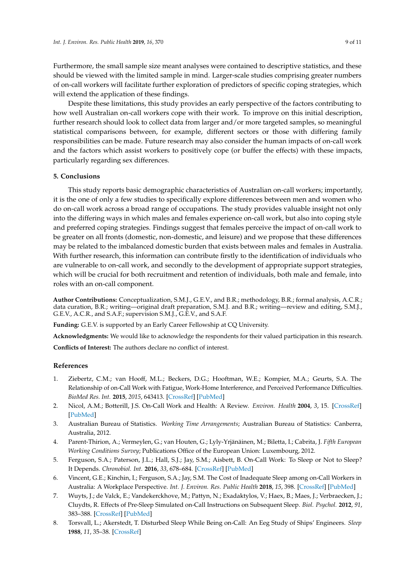Furthermore, the small sample size meant analyses were contained to descriptive statistics, and these should be viewed with the limited sample in mind. Larger-scale studies comprising greater numbers of on-call workers will facilitate further exploration of predictors of specific coping strategies, which will extend the application of these findings.

Despite these limitations, this study provides an early perspective of the factors contributing to how well Australian on-call workers cope with their work. To improve on this initial description, further research should look to collect data from larger and/or more targeted samples, so meaningful statistical comparisons between, for example, different sectors or those with differing family responsibilities can be made. Future research may also consider the human impacts of on-call work and the factors which assist workers to positively cope (or buffer the effects) with these impacts, particularly regarding sex differences.

# **5. Conclusions**

This study reports basic demographic characteristics of Australian on-call workers; importantly, it is the one of only a few studies to specifically explore differences between men and women who do on-call work across a broad range of occupations. The study provides valuable insight not only into the differing ways in which males and females experience on-call work, but also into coping style and preferred coping strategies. Findings suggest that females perceive the impact of on-call work to be greater on all fronts (domestic, non-domestic, and leisure) and we propose that these differences may be related to the imbalanced domestic burden that exists between males and females in Australia. With further research, this information can contribute firstly to the identification of individuals who are vulnerable to on-call work, and secondly to the development of appropriate support strategies, which will be crucial for both recruitment and retention of individuals, both male and female, into roles with an on-call component.

**Author Contributions:** Conceptualization, S.M.J., G.E.V., and B.R.; methodology, B.R.; formal analysis, A.C.R.; data curation, B.R.; writing—original draft preparation, S.M.J. and B.R.; writing—review and editing, S.M.J., G.E.V., A.C.R., and S.A.F.; supervision S.M.J., G.E.V., and S.A.F.

**Funding:** G.E.V. is supported by an Early Career Fellowship at CQ University.

**Acknowledgments:** We would like to acknowledge the respondents for their valued participation in this research.

**Conflicts of Interest:** The authors declare no conflict of interest.

# **References**

- <span id="page-8-0"></span>1. Ziebertz, C.M.; van Hooff, M.L.; Beckers, D.G.; Hooftman, W.E.; Kompier, M.A.; Geurts, S.A. The Relationship of on-Call Work with Fatigue, Work-Home Interference, and Perceived Performance Difficulties. *BioMed Res. Int.* **2015**, *2015*, 643413. [\[CrossRef\]](http://dx.doi.org/10.1155/2015/643413) [\[PubMed\]](http://www.ncbi.nlm.nih.gov/pubmed/26558276)
- <span id="page-8-1"></span>2. Nicol, A.M.; Botterill, J.S. On-Call Work and Health: A Review. *Environ. Health* **2004**, *3*, 15. [\[CrossRef\]](http://dx.doi.org/10.1186/1476-069X-3-15) [\[PubMed\]](http://www.ncbi.nlm.nih.gov/pubmed/15588276)
- <span id="page-8-2"></span>3. Australian Bureau of Statistics. *Working Time Arrangements*; Australian Bureau of Statistics: Canberra, Australia, 2012.
- <span id="page-8-3"></span>4. Parent-Thirion, A.; Vermeylen, G.; van Houten, G.; Lyly-Yrjänäinen, M.; Biletta, I.; Cabrita, J. *Fifth European Working Conditions Survey*; Publications Office of the European Union: Luxembourg, 2012.
- <span id="page-8-4"></span>5. Ferguson, S.A.; Paterson, J.L.; Hall, S.J.; Jay, S.M.; Aisbett, B. On-Call Work: To Sleep or Not to Sleep? It Depends. *Chronobiol. Int.* **2016**, *33*, 678–684. [\[CrossRef\]](http://dx.doi.org/10.3109/07420528.2016.1167714) [\[PubMed\]](http://www.ncbi.nlm.nih.gov/pubmed/27070367)
- <span id="page-8-6"></span>6. Vincent, G.E.; Kinchin, I.; Ferguson, S.A.; Jay, S.M. The Cost of Inadequate Sleep among on-Call Workers in Australia: A Workplace Perspective. *Int. J. Environ. Res. Public Health* **2018**, *15*, 398. [\[CrossRef\]](http://dx.doi.org/10.3390/ijerph15030398) [\[PubMed\]](http://www.ncbi.nlm.nih.gov/pubmed/29495371)
- 7. Wuyts, J.; de Valck, E.; Vandekerckhove, M.; Pattyn, N.; Exadaktylos, V.; Haex, B.; Maes, J.; Verbraecken, J.; Cluydts, R. Effects of Pre-Sleep Simulated on-Call Instructions on Subsequent Sleep. *Biol. Psychol.* **2012**, *91*, 383–388. [\[CrossRef\]](http://dx.doi.org/10.1016/j.biopsycho.2012.09.003) [\[PubMed\]](http://www.ncbi.nlm.nih.gov/pubmed/23000568)
- <span id="page-8-5"></span>8. Torsvall, L.; Akerstedt, T. Disturbed Sleep While Being on-Call: An Eeg Study of Ships' Engineers. *Sleep* **1988**, *11*, 35–38. [\[CrossRef\]](http://dx.doi.org/10.1093/sleep/11.1.35)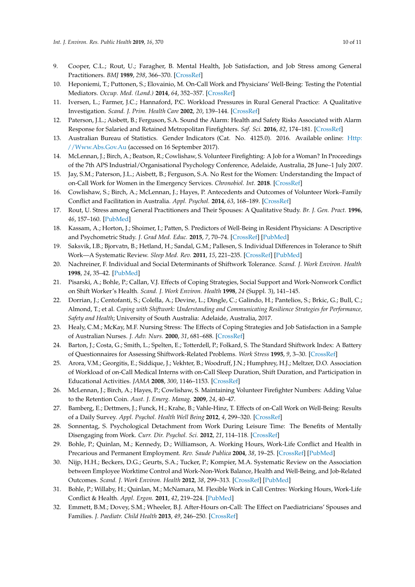- <span id="page-9-0"></span>9. Cooper, C.L.; Rout, U.; Faragher, B. Mental Health, Job Satisfaction, and Job Stress among General Practitioners. *BMJ* **1989**, *298*, 366–370. [\[CrossRef\]](http://dx.doi.org/10.1136/bmj.298.6670.366)
- 10. Heponiemi, T.; Puttonen, S.; Elovainio, M. On-Call Work and Physicians' Well-Being: Testing the Potential Mediators. *Occup. Med. (Lond.)* **2014**, *64*, 352–357. [\[CrossRef\]](http://dx.doi.org/10.1093/occmed/kqu036)
- <span id="page-9-1"></span>11. Iversen, L.; Farmer, J.C.; Hannaford, P.C. Workload Pressures in Rural General Practice: A Qualitative Investigation. *Scand. J. Prim. Health Care* **2002**, *20*, 139–144. [\[CrossRef\]](http://dx.doi.org/10.1080/028134302760234573)
- <span id="page-9-2"></span>12. Paterson, J.L.; Aisbett, B.; Ferguson, S.A. Sound the Alarm: Health and Safety Risks Associated with Alarm Response for Salaried and Retained Metropolitan Firefighters. *Saf. Sci.* **2016**, *82*, 174–181. [\[CrossRef\]](http://dx.doi.org/10.1016/j.ssci.2015.09.024)
- <span id="page-9-3"></span>13. Australian Bureau of Statistics. Gender Indicators (Cat. No. 4125.0). 2016. Available online: [Http:](Http://Www.Abs.Gov.Au) [//Www.Abs.Gov.Au](Http://Www.Abs.Gov.Au) (accessed on 16 September 2017).
- <span id="page-9-4"></span>14. McLennan, J.; Birch, A.; Beatson, R.; Cowlishaw, S. Volunteer Firefighting: A Job for a Woman? In Proceedings of the 7th APS Industrial/Organisational Psychology Conference, Adelaide, Australia, 28 June–1 July 2007.
- <span id="page-9-5"></span>15. Jay, S.M.; Paterson, J.L.; Aisbett, B.; Ferguson, S.A. No Rest for the Women: Understanding the Impact of on-Call Work for Women in the Emergency Services. *Chronobiol. Int.* **2018**. [\[CrossRef\]](http://dx.doi.org/10.1080/07420528.2018.1466793)
- <span id="page-9-6"></span>16. Cowlishaw, S.; Birch, A.; McLennan, J.; Hayes, P. Antecedents and Outcomes of Volunteer Work–Family Conflict and Facilitation in Australia. *Appl. Psychol.* **2014**, *63*, 168–189. [\[CrossRef\]](http://dx.doi.org/10.1111/apps.12000)
- <span id="page-9-7"></span>17. Rout, U. Stress among General Practitioners and Their Spouses: A Qualitative Study. *Br. J. Gen. Pract.* **1996**, *46*, 157–160. [\[PubMed\]](http://www.ncbi.nlm.nih.gov/pubmed/8731621)
- <span id="page-9-8"></span>18. Kassam, A.; Horton, J.; Shoimer, I.; Patten, S. Predictors of Well-Being in Resident Physicians: A Descriptive and Psychometric Study. *J. Grad Med. Educ.* **2015**, *7*, 70–74. [\[CrossRef\]](http://dx.doi.org/10.4300/JGME-D-14-00022.1) [\[PubMed\]](http://www.ncbi.nlm.nih.gov/pubmed/26217426)
- <span id="page-9-9"></span>19. Saksvik, I.B.; Bjorvatn, B.; Hetland, H.; Sandal, G.M.; Pallesen, S. Individual Differences in Tolerance to Shift Work—A Systematic Review. *Sleep Med. Rev.* **2011**, *15*, 221–235. [\[CrossRef\]](http://dx.doi.org/10.1016/j.smrv.2010.07.002) [\[PubMed\]](http://www.ncbi.nlm.nih.gov/pubmed/20851006)
- <span id="page-9-10"></span>20. Nachreiner, F. Individual and Social Determinants of Shiftwork Tolerance. *Scand. J. Work Environ. Health* **1998**, *24*, 35–42. [\[PubMed\]](http://www.ncbi.nlm.nih.gov/pubmed/9916815)
- <span id="page-9-11"></span>21. Pisarski, A.; Bohle, P.; Callan, V.J. Effects of Coping Strategies, Social Support and Work-Nonwork Conflict on Shift Worker's Health. *Scand. J. Work Environ. Health* **1998**, *24* (Suppl. 3), 141–145.
- <span id="page-9-13"></span>22. Dorrian, J.; Centofanti, S.; Colella, A.; Devine, L.; Dingle, C.; Galindo, H.; Pantelios, S.; Brkic, G.; Bull, C.; Almond, T.; et al. *Coping with Shiftwork: Understanding and Communicating Resilience Strategies for Performance, Safety and Health*; University of South Australia: Adelaide, Australia, 2017.
- <span id="page-9-12"></span>23. Healy, C.M.; McKay, M.F. Nursing Stress: The Effects of Coping Strategies and Job Satisfaction in a Sample of Australian Nurses. *J. Adv. Nurs.* **2000**, *31*, 681–688. [\[CrossRef\]](http://dx.doi.org/10.1046/j.1365-2648.2000.01323.x)
- <span id="page-9-14"></span>24. Barton, J.; Costa, G.; Smith, L.; Spelten, E.; Totterdell, P.; Folkard, S. The Standard Shiftwork Index: A Battery of Questionnaires for Assessing Shiftwork-Related Problems. *Work Stress* **1995**, *9*, 3–30. [\[CrossRef\]](http://dx.doi.org/10.1080/02678379508251582)
- <span id="page-9-15"></span>25. Arora, V.M.; Georgitis, E.; Siddique, J.; Vekhter, B.; Woodruff, J.N.; Humphrey, H.J.; Meltzer, D.O. Association of Workload of on-Call Medical Interns with on-Call Sleep Duration, Shift Duration, and Participation in Educational Activities. *JAMA* **2008**, *300*, 1146–1153. [\[CrossRef\]](http://dx.doi.org/10.1001/jama.300.10.1146)
- <span id="page-9-16"></span>26. McLennan, J.; Birch, A.; Hayes, P.; Cowlishaw, S. Maintaining Volunteer Firefighter Numbers: Adding Value to the Retention Coin. *Aust. J. Emerg. Manag.* **2009**, *24*, 40–47.
- <span id="page-9-17"></span>27. Bamberg, E.; Dettmers, J.; Funck, H.; Krahe, B.; Vahle-Hinz, T. Effects of on-Call Work on Well-Being: Results of a Daily Survey. *Appl. Psychol. Health Well Being* **2012**, *4*, 299–320. [\[CrossRef\]](http://dx.doi.org/10.1111/j.1758-0854.2012.01075.x)
- <span id="page-9-18"></span>28. Sonnentag, S. Psychological Detachment from Work During Leisure Time: The Benefits of Mentally Disengaging from Work. *Curr. Dir. Psychol. Sci.* **2012**, *21*, 114–118. [\[CrossRef\]](http://dx.doi.org/10.1177/0963721411434979)
- <span id="page-9-19"></span>29. Bohle, P.; Quinlan, M.; Kennedy, D.; Williamson, A. Working Hours, Work-Life Conflict and Health in Precarious and Permanent Employment. *Rev. Saude Publica* **2004**, *38*, 19–25. [\[CrossRef\]](http://dx.doi.org/10.1590/S0034-89102004000700004) [\[PubMed\]](http://www.ncbi.nlm.nih.gov/pubmed/15608910)
- <span id="page-9-20"></span>30. Nijp, H.H.; Beckers, D.G.; Geurts, S.A.; Tucker, P.; Kompier, M.A. Systematic Review on the Association between Employee Worktime Control and Work-Non-Work Balance, Health and Well-Being, and Job-Related Outcomes. *Scand. J. Work Environ. Health* **2012**, *38*, 299–313. [\[CrossRef\]](http://dx.doi.org/10.5271/sjweh.3307) [\[PubMed\]](http://www.ncbi.nlm.nih.gov/pubmed/22678492)
- <span id="page-9-21"></span>31. Bohle, P.; Willaby, H.; Quinlan, M.; McNamara, M. Flexible Work in Call Centres: Working Hours, Work-Life Conflict & Health. *Appl. Ergon.* **2011**, *42*, 219–224. [\[PubMed\]](http://www.ncbi.nlm.nih.gov/pubmed/20696420)
- <span id="page-9-22"></span>32. Emmett, B.M.; Dovey, S.M.; Wheeler, B.J. After-Hours on-Call: The Effect on Paediatricians' Spouses and Families. *J. Paediatr. Child Health* **2013**, *49*, 246–250. [\[CrossRef\]](http://dx.doi.org/10.1111/jpc.12108)